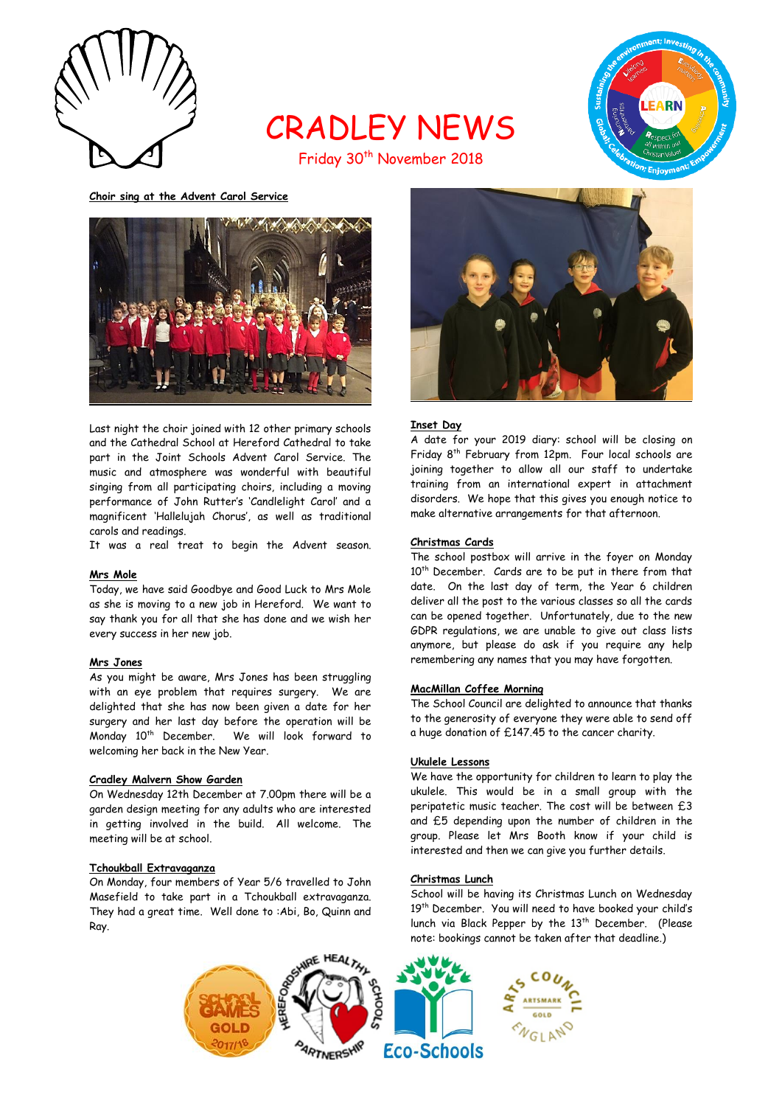

# CRADLEY NEWS Friday 30<sup>th</sup> November 2018



**Choir sing at the Advent Carol Service**



Last night the choir joined with 12 other primary schools and the Cathedral School at Hereford Cathedral to take part in the Joint Schools Advent Carol Service. The music and atmosphere was wonderful with beautiful singing from all participating choirs, including a moving performance of John Rutter's 'Candlelight Carol' and a magnificent 'Hallelujah Chorus', as well as traditional carols and readings.

It was a real treat to begin the Advent season.

# **Mrs Mole**

Today, we have said Goodbye and Good Luck to Mrs Mole as she is moving to a new job in Hereford. We want to say thank you for all that she has done and we wish her every success in her new job.

#### **Mrs Jones**

As you might be aware, Mrs Jones has been struggling with an eye problem that requires surgery. We are delighted that she has now been given a date for her surgery and her last day before the operation will be Monday 10th December. We will look forward to welcoming her back in the New Year.

#### **Cradley Malvern Show Garden**

On Wednesday 12th December at 7.00pm there will be a garden design meeting for any adults who are interested in getting involved in the build. All welcome. The meeting will be at school.

## **Tchoukball Extravaganza**

On Monday, four members of Year 5/6 travelled to John Masefield to take part in a Tchoukball extravaganza. They had a great time. Well done to :Abi, Bo, Quinn and Ray.



# **Inset Day**

A date for your 2019 diary: school will be closing on Friday 8th February from 12pm. Four local schools are joining together to allow all our staff to undertake training from an international expert in attachment disorders. We hope that this gives you enough notice to make alternative arrangements for that afternoon.

## **Christmas Cards**

The school postbox will arrive in the foyer on Monday 10<sup>th</sup> December. Cards are to be put in there from that date. On the last day of term, the Year 6 children deliver all the post to the various classes so all the cards can be opened together. Unfortunately, due to the new GDPR regulations, we are unable to give out class lists anymore, but please do ask if you require any help remembering any names that you may have forgotten.

#### **MacMillan Coffee Morning**

The School Council are delighted to announce that thanks to the generosity of everyone they were able to send off a huge donation of £147.45 to the cancer charity.

#### **Ukulele Lessons**

We have the opportunity for children to learn to play the ukulele. This would be in a small group with the peripatetic music teacher. The cost will be between £3 and £5 depending upon the number of children in the group. Please let Mrs Booth know if your child is interested and then we can give you further details.

#### **Christmas Lunch**

School will be having its Christmas Lunch on Wednesday 19<sup>th</sup> December. You will need to have booked your child's lunch via Black Pepper by the 13<sup>th</sup> December. (Please note: bookings cannot be taken after that deadline.)

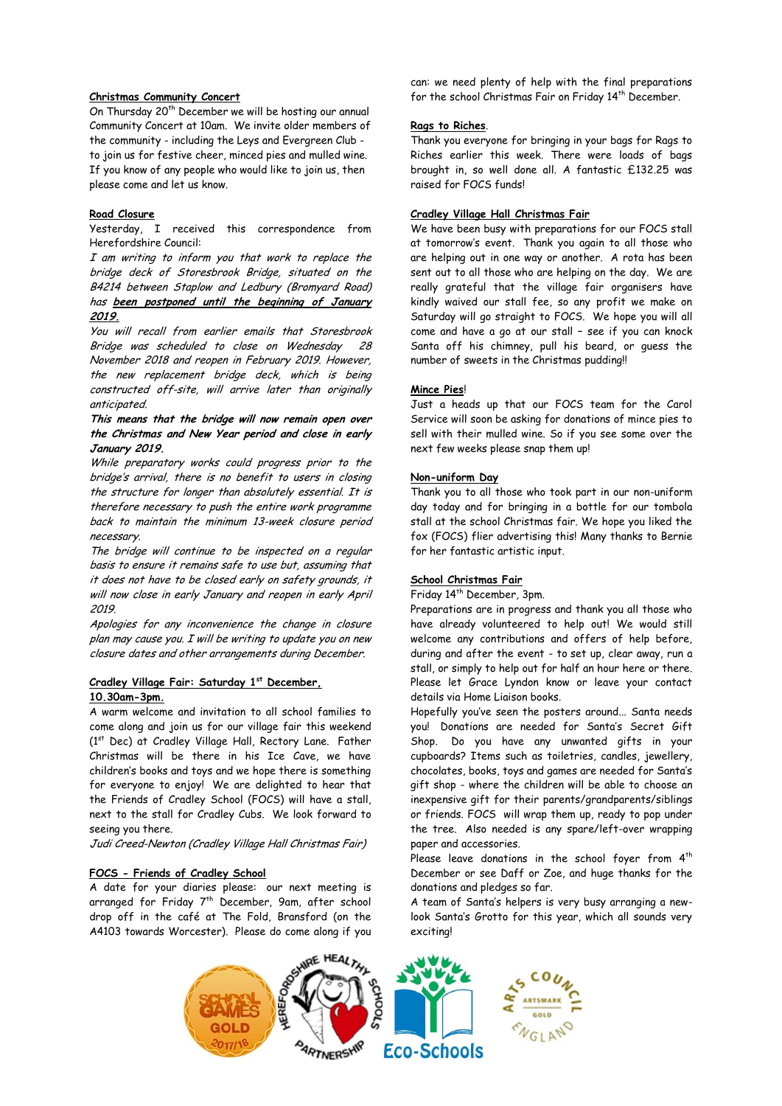# **Christmas Community Concert**

On Thursday 20<sup>th</sup> December we will be hosting our annual Community Concert at 10am. We invite older members of the community - including the Leys and Evergreen Club to join us for festive cheer, minced pies and mulled wine. If you know of any people who would like to join us, then please come and let us know.

## **Road Closure**

Yesterday, I received this correspondence from Herefordshire Council:

I am writing to inform you that work to replace the bridge deck of Storesbrook Bridge, situated on the B4214 between Staplow and Ledbury (Bromyard Road) has **been postponed until the beginning of January 2019.**

You will recall from earlier emails that Storesbrook Bridge was scheduled to close on Wednesday 28 November 2018 and reopen in February 2019. However, the new replacement bridge deck, which is being constructed off-site, will arrive later than originally anticipated.

## **This means that the bridge will now remain open over the Christmas and New Year period and close in early January 2019.**

While preparatory works could progress prior to the bridge's arrival, there is no benefit to users in closing the structure for longer than absolutely essential. It is therefore necessary to push the entire work programme back to maintain the minimum 13-week closure period necessary.

The bridge will continue to be inspected on a regular basis to ensure it remains safe to use but, assuming that it does not have to be closed early on safety grounds, it will now close in early January and reopen in early April 2019.

Apologies for any inconvenience the change in closure plan may cause you. I will be writing to update you on new closure dates and other arrangements during December.

# **Cradley Village Fair: Saturday 1 st December, 10.30am-3pm.**

A warm welcome and invitation to all school families to come along and join us for our village fair this weekend (1st Dec) at Cradley Village Hall, Rectory Lane. Father Christmas will be there in his Ice Cave, we have children's books and toys and we hope there is something for everyone to enjoy! We are delighted to hear that the Friends of Cradley School (FOCS) will have a stall, next to the stall for Cradley Cubs. We look forward to seeing you there.

Judi Creed-Newton (Cradley Village Hall Christmas Fair)

# **FOCS - Friends of Cradley School**

A date for your diaries please: our next meeting is arranged for Friday 7<sup>th</sup> December, 9am, after school drop off in the café at The Fold, Bransford (on the A4103 towards Worcester). Please do come along if you

can: we need plenty of help with the final preparations for the school Christmas Fair on Friday 14<sup>th</sup> December.

## **Rags to Riches**.

Thank you everyone for bringing in your bags for Rags to Riches earlier this week. There were loads of bags brought in, so well done all. A fantastic £132.25 was raised for FOCS funds!

## **Cradley Village Hall Christmas Fair**

We have been busy with preparations for our FOCS stall at tomorrow's event. Thank you again to all those who are helping out in one way or another. A rota has been sent out to all those who are helping on the day. We are really grateful that the village fair organisers have kindly waived our stall fee, so any profit we make on Saturday will go straight to FOCS. We hope you will all come and have a go at our stall – see if you can knock Santa off his chimney, pull his beard, or guess the number of sweets in the Christmas pudding!!

## **Mince Pies**!

Just a heads up that our FOCS team for the Carol Service will soon be asking for donations of mince pies to sell with their mulled wine. So if you see some over the next few weeks please snap them up!

## **Non-uniform Day**

Thank you to all those who took part in our non-uniform day today and for bringing in a bottle for our tombola stall at the school Christmas fair. We hope you liked the fox (FOCS) flier advertising this! Many thanks to Bernie for her fantastic artistic input.

# **School Christmas Fair**

## Friday 14th December, 3pm.

Preparations are in progress and thank you all those who have already volunteered to help out! We would still welcome any contributions and offers of help before, during and after the event - to set up, clear away, run a stall, or simply to help out for half an hour here or there. Please let Grace Lyndon know or leave your contact details via Home Liaison books.

Hopefully you've seen the posters around... Santa needs you! Donations are needed for Santa's Secret Gift Shop. Do you have any unwanted gifts in your cupboards? Items such as toiletries, candles, jewellery, chocolates, books, toys and games are needed for Santa's gift shop - where the children will be able to choose an inexpensive gift for their parents/grandparents/siblings or friends. FOCS will wrap them up, ready to pop under the tree. Also needed is any spare/left-over wrapping paper and accessories.

Please leave donations in the school foyer from  $4<sup>th</sup>$ December or see Daff or Zoe, and huge thanks for the donations and pledges so far.

A team of Santa's helpers is very busy arranging a newlook Santa's Grotto for this year, which all sounds very exciting!

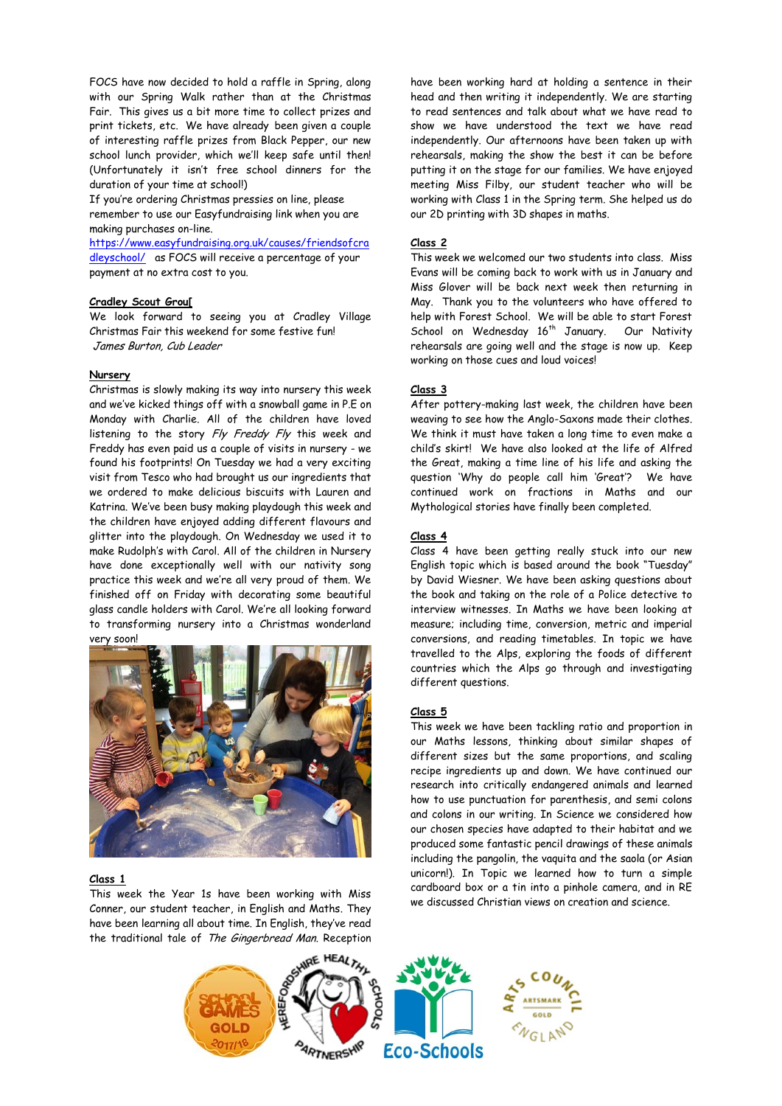FOCS have now decided to hold a raffle in Spring, along with our Spring Walk rather than at the Christmas Fair. This gives us a bit more time to collect prizes and print tickets, etc. We have already been given a couple of interesting raffle prizes from Black Pepper, our new school lunch provider, which we'll keep safe until then! (Unfortunately it isn't free school dinners for the duration of your time at school!)

If you're ordering Christmas pressies on line, please remember to use our Easyfundraising link when you are making purchases on-line.

[https://www.easyfundraising.org.uk/causes/friendsofcra](https://www.easyfundraising.org.uk/causes/friendsofcradleyschool/) [dleyschool/](https://www.easyfundraising.org.uk/causes/friendsofcradleyschool/) as FOCS will receive a percentage of your payment at no extra cost to you.

## **Cradley Scout Grou[**

We look forward to seeing you at Cradley Village Christmas Fair this weekend for some festive fun! James Burton, Cub Leader

#### **Nursery**

Christmas is slowly making its way into nursery this week and we've kicked things off with a snowball game in P.E on Monday with Charlie. All of the children have loved listening to the story Fly Freddy Fly this week and Freddy has even paid us a couple of visits in nursery - we found his footprints! On Tuesday we had a very exciting visit from Tesco who had brought us our ingredients that we ordered to make delicious biscuits with Lauren and Katrina. We've been busy making playdough this week and the children have enjoyed adding different flavours and glitter into the playdough. On Wednesday we used it to make Rudolph's with Carol. All of the children in Nursery have done exceptionally well with our nativity song practice this week and we're all very proud of them. We finished off on Friday with decorating some beautiful glass candle holders with Carol. We're all looking forward to transforming nursery into a Christmas wonderland very soon!



#### **Class 1**

This week the Year 1s have been working with Miss Conner, our student teacher, in English and Maths. They have been learning all about time. In English, they've read the traditional tale of The Gingerbread Man. Reception have been working hard at holding a sentence in their head and then writing it independently. We are starting to read sentences and talk about what we have read to show we have understood the text we have read independently. Our afternoons have been taken up with rehearsals, making the show the best it can be before putting it on the stage for our families. We have enjoyed meeting Miss Filby, our student teacher who will be working with Class 1 in the Spring term. She helped us do our 2D printing with 3D shapes in maths.

## **Class 2**

This week we welcomed our two students into class. Miss Evans will be coming back to work with us in January and Miss Glover will be back next week then returning in May. Thank you to the volunteers who have offered to help with Forest School. We will be able to start Forest School on Wednesday 16<sup>th</sup> January. Our Nativity rehearsals are going well and the stage is now up. Keep working on those cues and loud voices!

## **Class 3**

After pottery-making last week, the children have been weaving to see how the Anglo-Saxons made their clothes. We think it must have taken a long time to even make a child's skirt! We have also looked at the life of Alfred the Great, making a time line of his life and asking the question 'Why do people call him 'Great'? We have continued work on fractions in Maths and our Mythological stories have finally been completed.

## **Class 4**

Class 4 have been getting really stuck into our new English topic which is based around the book "Tuesday" by David Wiesner. We have been asking questions about the book and taking on the role of a Police detective to interview witnesses. In Maths we have been looking at measure; including time, conversion, metric and imperial conversions, and reading timetables. In topic we have travelled to the Alps, exploring the foods of different countries which the Alps go through and investigating different questions.

#### **Class 5**

This week we have been tackling ratio and proportion in our Maths lessons, thinking about similar shapes of different sizes but the same proportions, and scaling recipe ingredients up and down. We have continued our research into critically endangered animals and learned how to use punctuation for parenthesis, and semi colons and colons in our writing. In Science we considered how our chosen species have adapted to their habitat and we produced some fantastic pencil drawings of these animals including the pangolin, the vaquita and the saola (or Asian unicorn!). In Topic we learned how to turn a simple cardboard box or a tin into a pinhole camera, and in RE we discussed Christian views on creation and science.